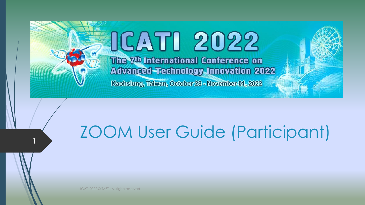# OCATI 2022 The 7<sup>th</sup> International Conference on **Advanced-Technology Innovation 2022**

Kaohsiung, Taiwan, October 28 - November 01, 2022

# ZOOM User Guide (Participant)

ICATI 2022 © TAETI. All rights reserved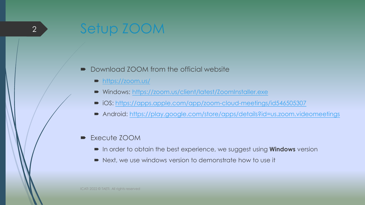## Setup ZOOM

2

#### ■ Download ZOOM from the official website

- <https://zoom.us/>
- Windows: <https://zoom.us/client/latest/ZoomInstaller.exe>
- iOS:<https://apps.apple.com/app/zoom-cloud-meetings/id546505307>
- Android: <https://play.google.com/store/apps/details?id=us.zoom.videomeetings>

#### Execute ZOOM

- In order to obtain the best experience, we suggest using **Windows** version
- Next, we use windows version to demonstrate how to use it

ICATI 2022 © TAETI. All rights reserved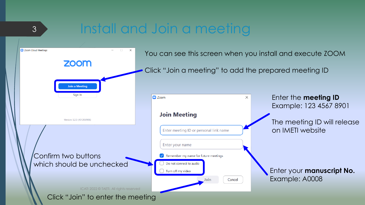## Install and Join a meeting

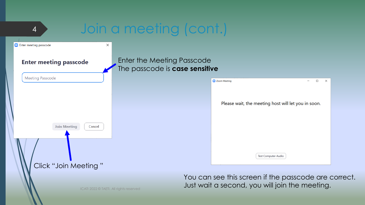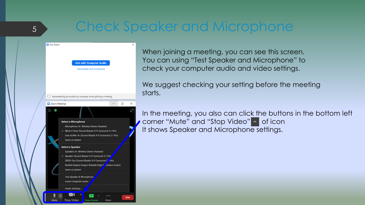## Check Speaker and Microphone

| Join Audio   |                                                                       | X      |
|--------------|-----------------------------------------------------------------------|--------|
|              |                                                                       |        |
|              | <b>Join with Computer Audio</b>                                       |        |
|              | <b>Test Speaker and Microphone</b>                                    |        |
|              |                                                                       |        |
|              |                                                                       |        |
|              |                                                                       |        |
|              |                                                                       |        |
|              |                                                                       |        |
|              | Automatically join audio by computer when joining a meeting           |        |
| Zoom Meeting |                                                                       | □<br>x |
| ω            |                                                                       |        |
|              |                                                                       |        |
|              |                                                                       |        |
|              | <b>Select a Microphone</b><br>Microphone (4- Wireless Stereo Headset) |        |
|              | V What U Hear (Sound Blaster X-Fi Surround 5.1 Pro)                   |        |
|              | Line-In/Mic-In (Sound Blaster X-Fi Surround 5.1 Pro)                  |        |
|              | Same as System                                                        |        |
|              | Select a Speaker                                                      |        |
|              | Speakers (4- Wireless Stereo Headset)                                 |        |
|              | Speaker (Sound Blaster X-Fi Surround 5.1 Pro'                         |        |
|              | SPDIF-Out (Sound Blaster X-Fi Surround 5 Pro)                         |        |
|              | Realtek Digital Output (Realtek High Panition Audio)                  |        |
|              | Same as System                                                        |        |
|              | Test Speaker & Microphone,                                            |        |
|              | Leave Computer Audio                                                  |        |
|              |                                                                       |        |
|              | Audio Settings.                                                       |        |

5

When joining a meeting, you can see this screen. You can using "Test Speaker and Microphone" to check your computer audio and video settings.

We suggest checking your setting before the meeting starts.

In the meeting, you also can click the buttons in the bottom left ● corner "Mute" and "Stop Video" ^ of icon It shows Speaker and Microphone settings.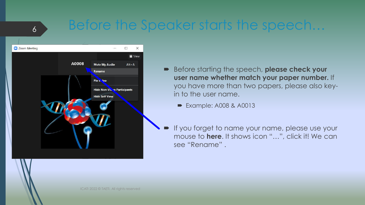#### Before the Speaker starts the speech…



- Before starting the speech, **please check your user name whether match your paper number.** If you have more than two papers, please also keyin to the user name.
	- Example: A008 & A0013
- If you forget to name your name, please use your mouse to **here**. It shows icon "…", click it! We can see "Rename" .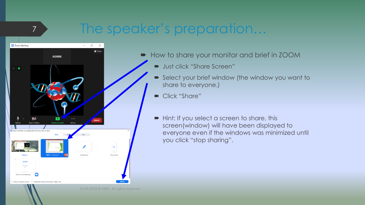### The speaker's preparation…



- How to share your monitor and brief in ZOOM
	- Ust click "Share Screen"
	- Select your brief window (the window you want to share to everyone.)
	- Click "Share"
	- $\blacksquare$  Hint: If you select a screen to share, this screen(window) will have been displayed to everyone even if the windows was minimized until you click "stop sharing".